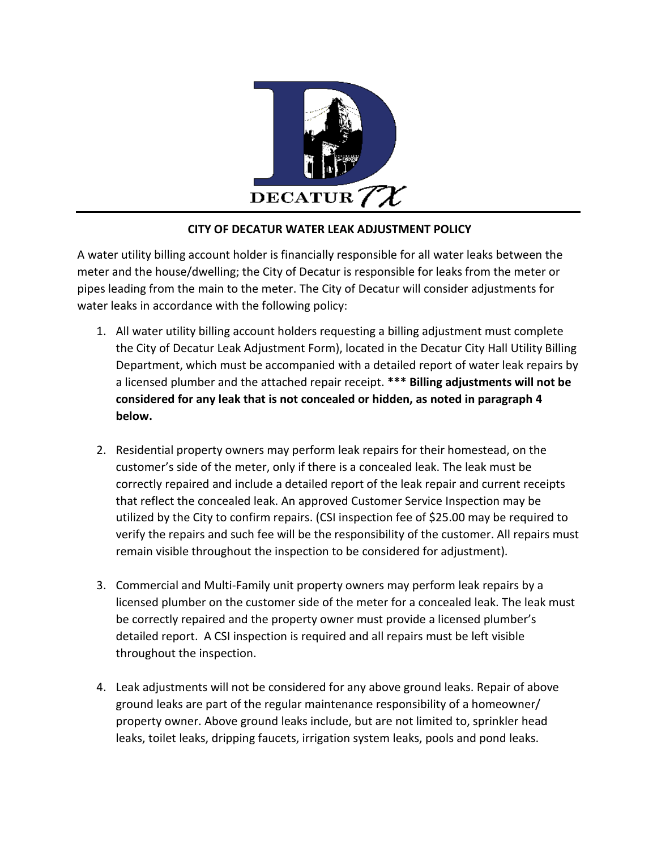

# **CITY OF DECATUR WATER LEAK ADJUSTMENT POLICY**

A water utility billing account holder is financially responsible for all water leaks between the meter and the house/dwelling; the City of Decatur is responsible for leaks from the meter or pipes leading from the main to the meter. The City of Decatur will consider adjustments for water leaks in accordance with the following policy:

- 1. All water utility billing account holders requesting a billing adjustment must complete the City of Decatur Leak Adjustment Form), located in the Decatur City Hall Utility Billing Department, which must be accompanied with a detailed report of water leak repairs by a licensed plumber and the attached repair receipt. **\*\*\* Billing adjustments will not be considered for any leak that is not concealed or hidden, as noted in paragraph 4 below.**
- 2. Residential property owners may perform leak repairs for their homestead, on the customer's side of the meter, only if there is a concealed leak. The leak must be correctly repaired and include a detailed report of the leak repair and current receipts that reflect the concealed leak. An approved Customer Service Inspection may be utilized by the City to confirm repairs. (CSI inspection fee of \$25.00 may be required to verify the repairs and such fee will be the responsibility of the customer. All repairs must remain visible throughout the inspection to be considered for adjustment).
- 3. Commercial and Multi-Family unit property owners may perform leak repairs by a licensed plumber on the customer side of the meter for a concealed leak. The leak must be correctly repaired and the property owner must provide a licensed plumber's detailed report. A CSI inspection is required and all repairs must be left visible throughout the inspection.
- 4. Leak adjustments will not be considered for any above ground leaks. Repair of above ground leaks are part of the regular maintenance responsibility of a homeowner/ property owner. Above ground leaks include, but are not limited to, sprinkler head leaks, toilet leaks, dripping faucets, irrigation system leaks, pools and pond leaks.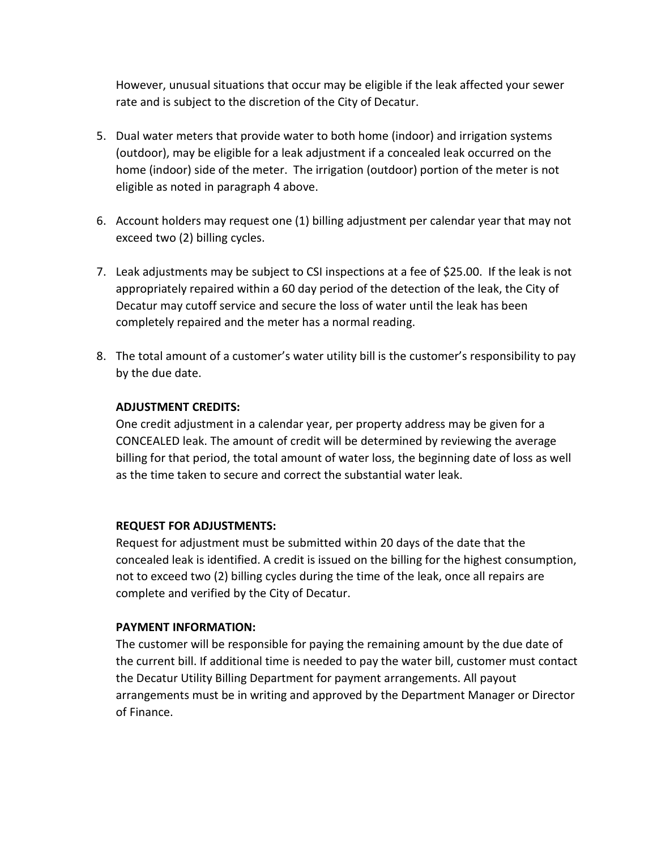However, unusual situations that occur may be eligible if the leak affected your sewer rate and is subject to the discretion of the City of Decatur.

- 5. Dual water meters that provide water to both home (indoor) and irrigation systems (outdoor), may be eligible for a leak adjustment if a concealed leak occurred on the home (indoor) side of the meter. The irrigation (outdoor) portion of the meter is not eligible as noted in paragraph 4 above.
- 6. Account holders may request one (1) billing adjustment per calendar year that may not exceed two (2) billing cycles.
- 7. Leak adjustments may be subject to CSI inspections at a fee of \$25.00. If the leak is not appropriately repaired within a 60 day period of the detection of the leak, the City of Decatur may cutoff service and secure the loss of water until the leak has been completely repaired and the meter has a normal reading.
- 8. The total amount of a customer's water utility bill is the customer's responsibility to pay by the due date.

### **ADJUSTMENT CREDITS:**

One credit adjustment in a calendar year, per property address may be given for a CONCEALED leak. The amount of credit will be determined by reviewing the average billing for that period, the total amount of water loss, the beginning date of loss as well as the time taken to secure and correct the substantial water leak.

#### **REQUEST FOR ADJUSTMENTS:**

Request for adjustment must be submitted within 20 days of the date that the concealed leak is identified. A credit is issued on the billing for the highest consumption, not to exceed two (2) billing cycles during the time of the leak, once all repairs are complete and verified by the City of Decatur.

## **PAYMENT INFORMATION:**

The customer will be responsible for paying the remaining amount by the due date of the current bill. If additional time is needed to pay the water bill, customer must contact the Decatur Utility Billing Department for payment arrangements. All payout arrangements must be in writing and approved by the Department Manager or Director of Finance.